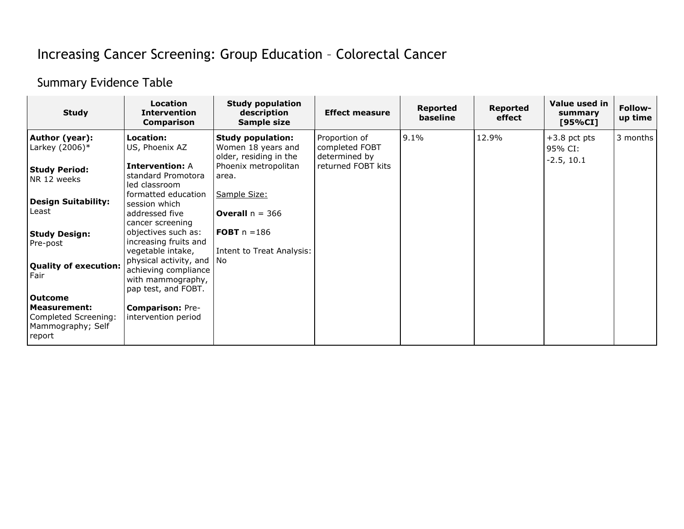## Increasing Cancer Screening: Group Education – Colorectal Cancer

## Summary Evidence Table

| <b>Study</b>                                                                            | <b>Location</b><br><b>Intervention</b><br><b>Comparison</b>                                | <b>Study population</b><br>description<br>Sample size                    | <b>Effect measure</b>                            | <b>Reported</b><br>baseline | <b>Reported</b><br>effect | Value used in<br>summary<br>[95%CI] | Follow-<br>up time |
|-----------------------------------------------------------------------------------------|--------------------------------------------------------------------------------------------|--------------------------------------------------------------------------|--------------------------------------------------|-----------------------------|---------------------------|-------------------------------------|--------------------|
| Author (year):<br>Larkey $(2006)*$                                                      | Location:<br>US, Phoenix AZ                                                                | <b>Study population:</b><br>Women 18 years and<br>older, residing in the | Proportion of<br>completed FOBT<br>determined by | $9.1\%$                     | 12.9%                     | $+3.8$ pct pts<br>95% CI:           | 3 months           |
| Study Period:<br>NR 12 weeks                                                            | <b>Intervention: A</b><br>standard Promotora<br>led classroom                              | Phoenix metropolitan<br>area.                                            | returned FOBT kits                               |                             |                           | $-2.5, 10.1$                        |                    |
| <b>Design Suitability:</b><br>Least                                                     | formatted education<br>session which<br>addressed five<br>cancer screening                 | Sample Size:<br><b>Overall</b> $n = 366$                                 |                                                  |                             |                           |                                     |                    |
| <b>Study Design:</b><br>Pre-post                                                        | objectives such as:<br>increasing fruits and<br>vegetable intake,                          | <b>FOBT</b> $n = 186$<br>Intent to Treat Analysis:                       |                                                  |                             |                           |                                     |                    |
| Quality of execution:<br>Fair                                                           | physical activity, and<br>achieving compliance<br>with mammography,<br>pap test, and FOBT. | No.                                                                      |                                                  |                             |                           |                                     |                    |
| <b>Outcome</b><br>  Measurement:<br>Completed Screening:<br>Mammography; Self<br>report | <b>Comparison: Pre-</b><br>intervention period                                             |                                                                          |                                                  |                             |                           |                                     |                    |